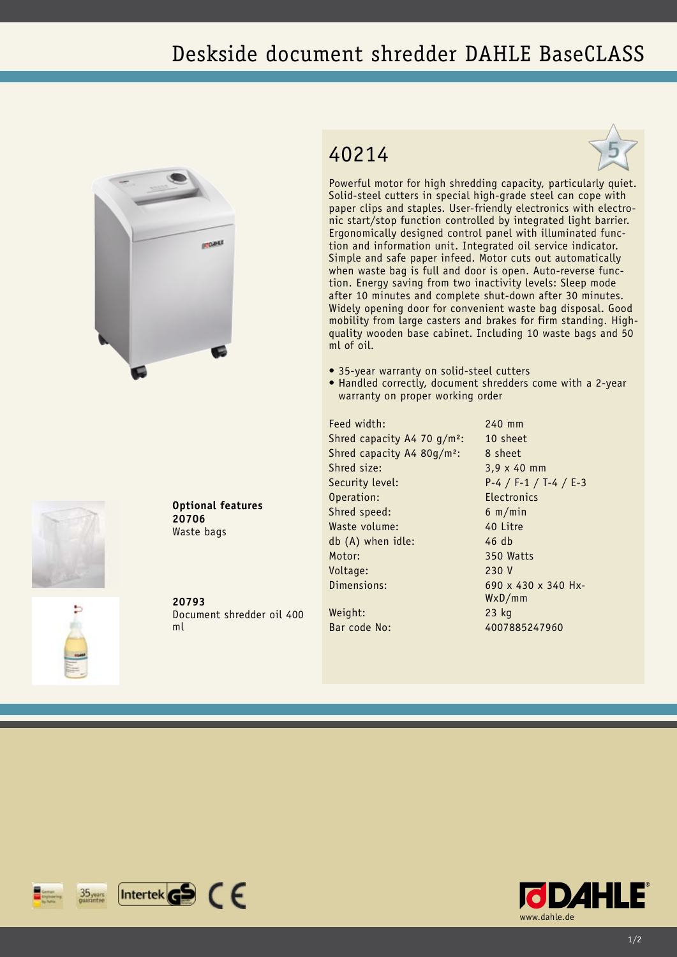## Deskside document shredder DAHLE BaseCLASS







Powerful motor for high shredding capacity, particularly quiet. Solid-steel cutters in special high-grade steel can cope with paper clips and staples. User-friendly electronics with electronic start/stop function controlled by integrated light barrier. Ergonomically designed control panel with illuminated function and information unit. Integrated oil service indicator. Simple and safe paper infeed. Motor cuts out automatically when waste bag is full and door is open. Auto-reverse function. Energy saving from two inactivity levels: Sleep mode after 10 minutes and complete shut-down after 30 minutes. Widely opening door for convenient waste bag disposal. Good mobility from large casters and brakes for firm standing. Highquality wooden base cabinet. Including 10 waste bags and 50 ml of oil.

- 35-year warranty on solid-steel cutters
- Handled correctly, document shredders come with a 2-year warranty on proper working order

Feed width: 240 mm Shred capacity A4 70  $q/m^2$ : 10 sheet Shred capacity A4 80g/m<sup>2</sup>: 8 sheet Shred size: 3,9 x 40 mm Security level: P-4 / F-1 / T-4 / E-3 Operation: Electronics Shred speed: 6 m/min Waste volume: 40 Litre db (A) when idle: 46 db Motor: 350 Watts Voltage: 230 V Dimensions: 690 x 430 x 340 Hx-

WxD/mm

Weight: 23 kg Bar code No: 4007885247960

Document shredder oil 400

**20793**

**20706** Waste bags

**Optional features**

ml